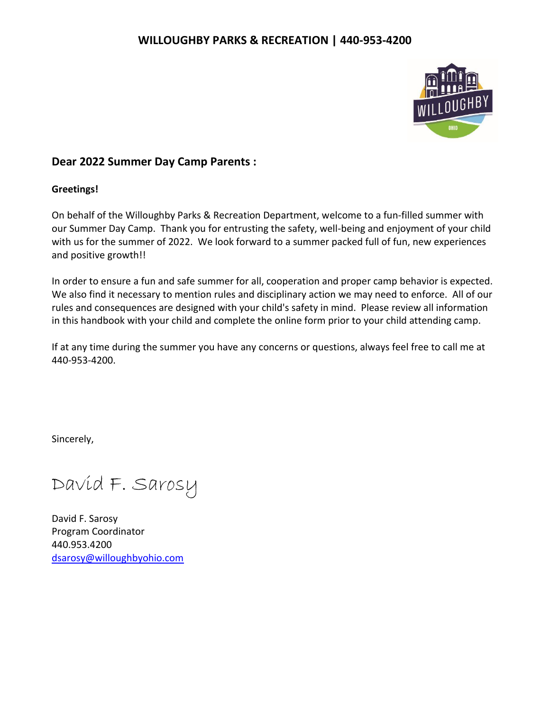

# **Dear 2022 Summer Day Camp Parents :**

# **Greetings!**

On behalf of the Willoughby Parks & Recreation Department, welcome to a fun-filled summer with our Summer Day Camp. Thank you for entrusting the safety, well-being and enjoyment of your child with us for the summer of 2022. We look forward to a summer packed full of fun, new experiences and positive growth!!

In order to ensure a fun and safe summer for all, cooperation and proper camp behavior is expected. We also find it necessary to mention rules and disciplinary action we may need to enforce. All of our rules and consequences are designed with your child's safety in mind. Please review all information in this handbook with your child and complete the online form prior to your child attending camp.

If at any time during the summer you have any concerns or questions, always feel free to call me at 440-953-4200.

Sincerely,

David F. Sarosy

David F. Sarosy Program Coordinator 440.953.4200 [dsarosy@willoughbyohio.com](mailto:dsarosy@willoughbyohio.com)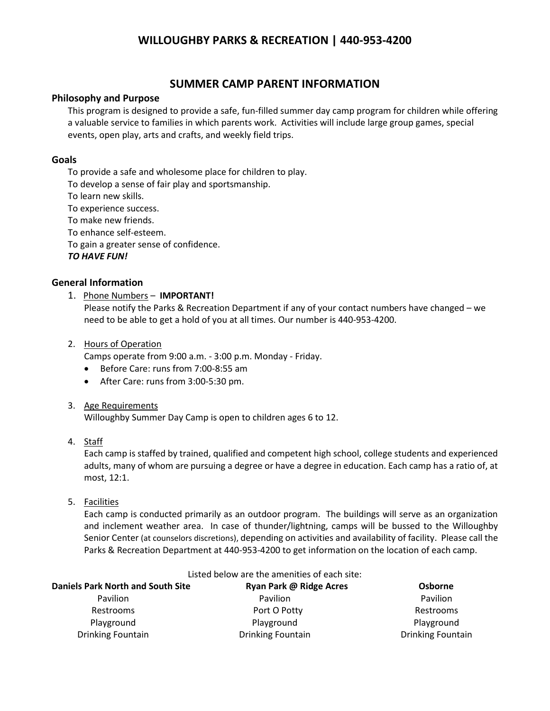# **SUMMER CAMP PARENT INFORMATION**

# **Philosophy and Purpose**

This program is designed to provide a safe, fun-filled summer day camp program for children while offering a valuable service to families in which parents work. Activities will include large group games, special events, open play, arts and crafts, and weekly field trips.

# **Goals**

To provide a safe and wholesome place for children to play.

To develop a sense of fair play and sportsmanship.

To learn new skills.

To experience success.

To make new friends.

To enhance self-esteem.

To gain a greater sense of confidence.

*TO HAVE FUN!*

# **General Information**

1. Phone Numbers – **IMPORTANT!**

Please notify the Parks & Recreation Department if any of your contact numbers have changed – we need to be able to get a hold of you at all times. Our number is 440-953-4200.

# 2. Hours of Operation

Camps operate from 9:00 a.m. - 3:00 p.m. Monday - Friday.

- Before Care: runs from 7:00-8:55 am
- After Care: runs from 3:00-5:30 pm.

#### 3. Age Requirements

Willoughby Summer Day Camp is open to children ages 6 to 12.

#### 4. Staff

Each camp is staffed by trained, qualified and competent high school, college students and experienced adults, many of whom are pursuing a degree or have a degree in education. Each camp has a ratio of, at most, 12:1.

5. Facilities

Each camp is conducted primarily as an outdoor program. The buildings will serve as an organization and inclement weather area. In case of thunder/lightning, camps will be bussed to the Willoughby Senior Center (at counselors discretions), depending on activities and availability of facility. Please call the Parks & Recreation Department at 440-953-4200 to get information on the location of each camp.

| Listed below are the amenities of each site: |                          |                          |
|----------------------------------------------|--------------------------|--------------------------|
| <b>Daniels Park North and South Site</b>     | Ryan Park @ Ridge Acres  | Osborne                  |
| <b>Pavilion</b>                              | Pavilion                 | <b>Pavilion</b>          |
| Restrooms                                    | Port O Potty             | Restrooms                |
| Playground                                   | Playground               | Playground               |
| <b>Drinking Fountain</b>                     | <b>Drinking Fountain</b> | <b>Drinking Fountain</b> |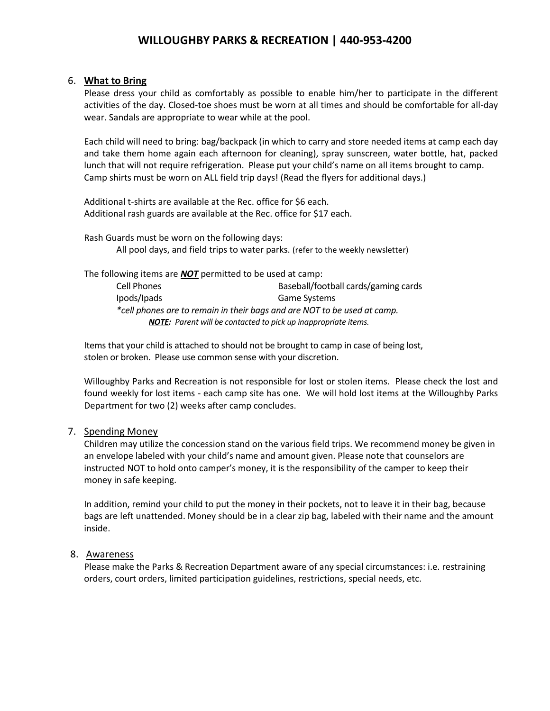#### 6. **What to Bring**

Please dress your child as comfortably as possible to enable him/her to participate in the different activities of the day. Closed-toe shoes must be worn at all times and should be comfortable for all-day wear. Sandals are appropriate to wear while at the pool.

Each child will need to bring: bag/backpack (in which to carry and store needed items at camp each day and take them home again each afternoon for cleaning), spray sunscreen, water bottle, hat, packed lunch that will not require refrigeration. Please put your child's name on all items brought to camp. Camp shirts must be worn on ALL field trip days! (Read the flyers for additional days.)

Additional t-shirts are available at the Rec. office for \$6 each. Additional rash guards are available at the Rec. office for \$17 each.

Rash Guards must be worn on the following days: All pool days, and field trips to water parks. (refer to the weekly newsletter)

The following items are *NOT* permitted to be used at camp: Cell Phones Baseball/football cards/gaming cards Ipods/Ipads Game Systems *\*cell phones are to remain in their bags and are NOT to be used at camp. NOTE: Parent will be contacted to pick up inappropriate items.*

Items that your child is attached to should not be brought to camp in case of being lost, stolen or broken. Please use common sense with your discretion.

Willoughby Parks and Recreation is not responsible for lost or stolen items. Please check the lost and found weekly for lost items - each camp site has one. We will hold lost items at the Willoughby Parks Department for two (2) weeks after camp concludes.

#### 7. Spending Money

Children may utilize the concession stand on the various field trips. We recommend money be given in an envelope labeled with your child's name and amount given. Please note that counselors are instructed NOT to hold onto camper's money, it is the responsibility of the camper to keep their money in safe keeping.

In addition, remind your child to put the money in their pockets, not to leave it in their bag, because bags are left unattended. Money should be in a clear zip bag, labeled with their name and the amount inside.

#### 8. Awareness

Please make the Parks & Recreation Department aware of any special circumstances: i.e. restraining orders, court orders, limited participation guidelines, restrictions, special needs, etc.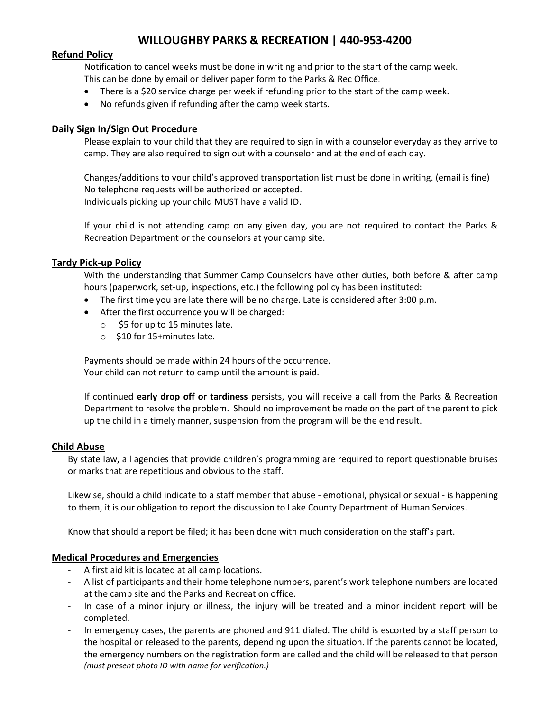## **Refund Policy**

Notification to cancel weeks must be done in writing and prior to the start of the camp week. This can be done by email or deliver paper form to the Parks & Rec Office.

- There is a \$20 service charge per week if refunding prior to the start of the camp week.
- No refunds given if refunding after the camp week starts.

# **Daily Sign In/Sign Out Procedure**

Please explain to your child that they are required to sign in with a counselor everyday as they arrive to camp. They are also required to sign out with a counselor and at the end of each day.

Changes/additions to your child's approved transportation list must be done in writing. (email is fine) No telephone requests will be authorized or accepted. Individuals picking up your child MUST have a valid ID.

If your child is not attending camp on any given day, you are not required to contact the Parks & Recreation Department or the counselors at your camp site.

#### **Tardy Pick-up Policy**

With the understanding that Summer Camp Counselors have other duties, both before & after camp hours (paperwork, set-up, inspections, etc.) the following policy has been instituted:

- The first time you are late there will be no charge. Late is considered after 3:00 p.m.
- After the first occurrence you will be charged:
	- $\circ$  \$5 for up to 15 minutes late.
	- o \$10 for 15+minutes late.

Payments should be made within 24 hours of the occurrence. Your child can not return to camp until the amount is paid.

If continued **early drop off or tardiness** persists, you will receive a call from the Parks & Recreation Department to resolve the problem. Should no improvement be made on the part of the parent to pick up the child in a timely manner, suspension from the program will be the end result.

#### **Child Abuse**

By state law, all agencies that provide children's programming are required to report questionable bruises or marks that are repetitious and obvious to the staff.

Likewise, should a child indicate to a staff member that abuse - emotional, physical or sexual - is happening to them, it is our obligation to report the discussion to Lake County Department of Human Services.

Know that should a report be filed; it has been done with much consideration on the staff's part.

# **Medical Procedures and Emergencies**

- A first aid kit is located at all camp locations.
- A list of participants and their home telephone numbers, parent's work telephone numbers are located at the camp site and the Parks and Recreation office.
- In case of a minor injury or illness, the injury will be treated and a minor incident report will be completed.
- In emergency cases, the parents are phoned and 911 dialed. The child is escorted by a staff person to the hospital or released to the parents, depending upon the situation. If the parents cannot be located, the emergency numbers on the registration form are called and the child will be released to that person *(must present photo ID with name for verification.)*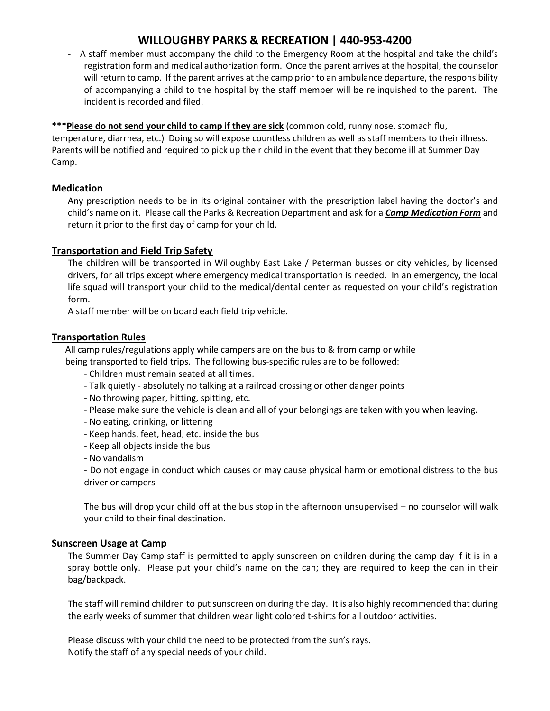- A staff member must accompany the child to the Emergency Room at the hospital and take the child's registration form and medical authorization form. Once the parent arrives at the hospital, the counselor will return to camp. If the parent arrives at the camp prior to an ambulance departure, the responsibility of accompanying a child to the hospital by the staff member will be relinquished to the parent. The incident is recorded and filed.

# \*\*\*Please do not send your child to camp if they are sick (common cold, runny nose, stomach flu, temperature, diarrhea, etc.) Doing so will expose countless children as well as staff members to their illness.

Parents will be notified and required to pick up their child in the event that they become ill at Summer Day Camp.

# **Medication**

Any prescription needs to be in its original container with the prescription label having the doctor's and child's name on it. Please call the Parks & Recreation Department and ask for a *Camp Medication Form* and return it prior to the first day of camp for your child.

# **Transportation and Field Trip Safety**

The children will be transported in Willoughby East Lake / Peterman busses or city vehicles, by licensed drivers, for all trips except where emergency medical transportation is needed. In an emergency, the local life squad will transport your child to the medical/dental center as requested on your child's registration form.

A staff member will be on board each field trip vehicle.

# **Transportation Rules**

 All camp rules/regulations apply while campers are on the bus to & from camp or while being transported to field trips. The following bus-specific rules are to be followed:

- Children must remain seated at all times.
- Talk quietly absolutely no talking at a railroad crossing or other danger points
- No throwing paper, hitting, spitting, etc.
- Please make sure the vehicle is clean and all of your belongings are taken with you when leaving.
- No eating, drinking, or littering
- Keep hands, feet, head, etc. inside the bus
- Keep all objects inside the bus
- No vandalism

- Do not engage in conduct which causes or may cause physical harm or emotional distress to the bus driver or campers

The bus will drop your child off at the bus stop in the afternoon unsupervised – no counselor will walk your child to their final destination.

#### **Sunscreen Usage at Camp**

The Summer Day Camp staff is permitted to apply sunscreen on children during the camp day if it is in a spray bottle only. Please put your child's name on the can; they are required to keep the can in their bag/backpack.

The staff will remind children to put sunscreen on during the day. It is also highly recommended that during the early weeks of summer that children wear light colored t-shirts for all outdoor activities.

Please discuss with your child the need to be protected from the sun's rays. Notify the staff of any special needs of your child.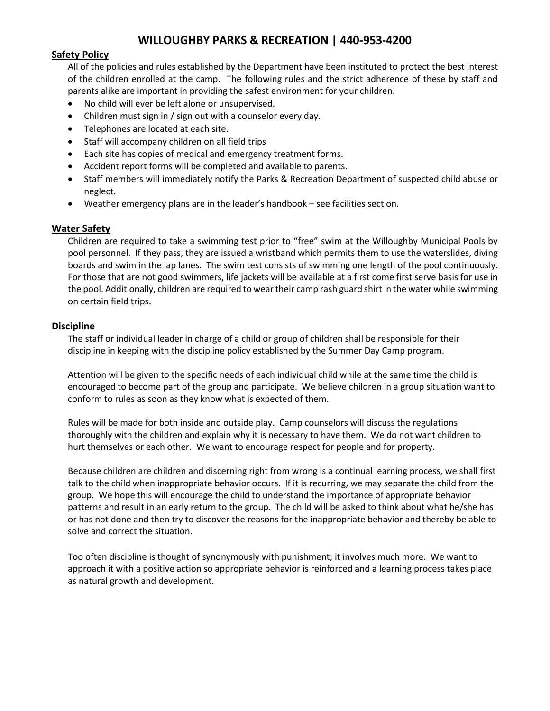# **Safety Policy**

All of the policies and rules established by the Department have been instituted to protect the best interest of the children enrolled at the camp. The following rules and the strict adherence of these by staff and parents alike are important in providing the safest environment for your children.

- No child will ever be left alone or unsupervised.
- Children must sign in / sign out with a counselor every day.
- Telephones are located at each site.
- Staff will accompany children on all field trips
- Each site has copies of medical and emergency treatment forms.
- Accident report forms will be completed and available to parents.
- Staff members will immediately notify the Parks & Recreation Department of suspected child abuse or neglect.
- Weather emergency plans are in the leader's handbook see facilities section.

# **Water Safety**

Children are required to take a swimming test prior to "free" swim at the Willoughby Municipal Pools by pool personnel. If they pass, they are issued a wristband which permits them to use the waterslides, diving boards and swim in the lap lanes. The swim test consists of swimming one length of the pool continuously. For those that are not good swimmers, life jackets will be available at a first come first serve basis for use in the pool. Additionally, children are required to wear their camp rash guard shirt in the water while swimming on certain field trips.

#### **Discipline**

The staff or individual leader in charge of a child or group of children shall be responsible for their discipline in keeping with the discipline policy established by the Summer Day Camp program.

Attention will be given to the specific needs of each individual child while at the same time the child is encouraged to become part of the group and participate. We believe children in a group situation want to conform to rules as soon as they know what is expected of them.

Rules will be made for both inside and outside play. Camp counselors will discuss the regulations thoroughly with the children and explain why it is necessary to have them. We do not want children to hurt themselves or each other. We want to encourage respect for people and for property.

Because children are children and discerning right from wrong is a continual learning process, we shall first talk to the child when inappropriate behavior occurs. If it is recurring, we may separate the child from the group. We hope this will encourage the child to understand the importance of appropriate behavior patterns and result in an early return to the group. The child will be asked to think about what he/she has or has not done and then try to discover the reasons for the inappropriate behavior and thereby be able to solve and correct the situation.

Too often discipline is thought of synonymously with punishment; it involves much more. We want to approach it with a positive action so appropriate behavior is reinforced and a learning process takes place as natural growth and development.